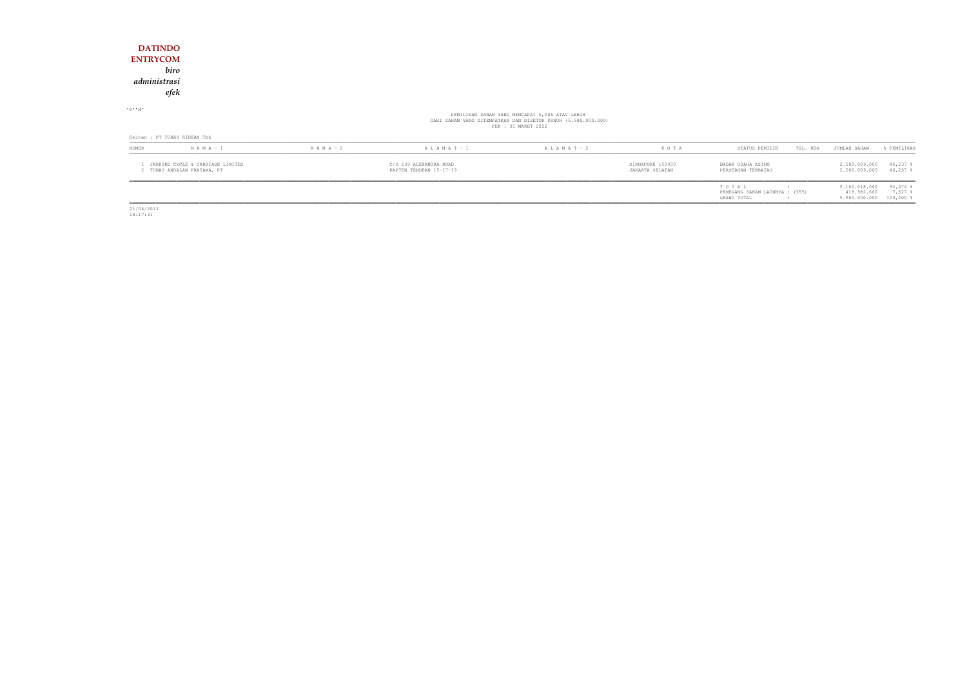|                              | $1$ . Thermall directed a difference functions. |               |                   |                                                                                                                                        | CEMPLED 150000 | papais mostra aprico |          | $\alpha$ Fee and and $\alpha$ and $\alpha$ |             |
|------------------------------|-------------------------------------------------|---------------|-------------------|----------------------------------------------------------------------------------------------------------------------------------------|----------------|----------------------|----------|--------------------------------------------|-------------|
| <b>NOMOR</b>                 | $N A M A - 1$                                   | $N A M A - 2$ | $A L A M A T - 1$ | $A L A M A T - 2$                                                                                                                      | KOTA           | STATUS PEMILIK       | TGL. REG | JUMLAH SAHAM                               | % PEMILIKAN |
| Emiten : PT TUNAS RIDEAN Tbk |                                                 |               |                   |                                                                                                                                        |                |                      |          |                                            |             |
|                              |                                                 |               |                   | PEMILIKAN SAHAM YANG MENCAPAI 5,00% ATAU LEBIH<br>DARI SAHAM YANG DITEMPATKAN DAN DISETOR PENUH (5.580.000.000)<br>PER : 31 MARET 2022 |                |                      |          |                                            |             |
| $P - M$                      |                                                 |               |                   |                                                                                                                                        |                |                      |          |                                            |             |
| efek                         |                                                 |               |                   |                                                                                                                                        |                |                      |          |                                            |             |
| administrasi                 |                                                 |               |                   |                                                                                                                                        |                |                      |          |                                            |             |
| biro                         |                                                 |               |                   |                                                                                                                                        |                |                      |          |                                            |             |
| <b>ENTRYCOM</b>              |                                                 |               |                   |                                                                                                                                        |                |                      |          |                                            |             |
| <b>DATINDO</b>               |                                                 |               |                   |                                                                                                                                        |                |                      |          |                                            |             |

| <b>NOMOR</b> | $N A M A - 1$                                                 | $N A M A - 2$ | $A L A M A T - 1$                                 | $A L A M A T - 2$ | K O T A                             | STATUS PEMILIK<br>TGL. REG                             | JUMLAH SAHAM                                            | <b>PEMILIKAN</b>           |
|--------------|---------------------------------------------------------------|---------------|---------------------------------------------------|-------------------|-------------------------------------|--------------------------------------------------------|---------------------------------------------------------|----------------------------|
|              | JARDINE CYCLE & CARRIAGE LIMITED<br>TUNAS ANDALAN PRATAMA, PT |               | C/O 239 ALEXANDRA ROAD<br>KAPTEN TENDEAN 15-17-19 |                   | SINGAPORE 159930<br>JAKARTA SELATAN | BADAN USAHA ASING<br>PERSEROAN TERBATAS                | 2,580,009,000<br>2.580.009.000                          | $46,237$ \$<br>$46,237$ \$ |
|              |                                                               |               |                                                   |                   |                                     | TOTAL<br>PEMEGANG SAHAM LAINNYA : (355)<br>GRAND TOTAL | 5.160.018.000<br>419.982.000<br>5.580.000.000 100,000 % | $92,474$ %<br>7,527        |

01/04/2022 18:17:31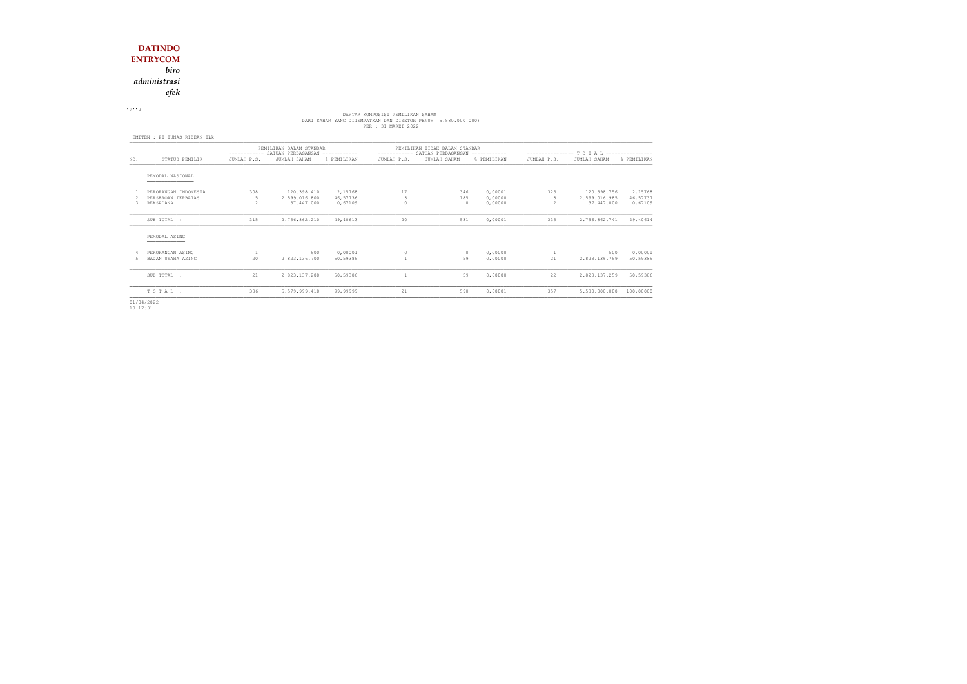*administrasi*

*efek*

 $\cdot$  P $\cdot$  2

# DAFTAR KOMPOSISI PEMILIKAN SAHAM<br>DARI SAHAM YANG DITEMPATKAN DAN DISETOR PENUH (5.580.000.000)<br>PER : 31 MARET 2022

|                                                         | PEMILIKAN DALAM STANDAR      |                                            |                                |                                             |                        |                               |                                                                                    |                                            |                                        |  |  |
|---------------------------------------------------------|------------------------------|--------------------------------------------|--------------------------------|---------------------------------------------|------------------------|-------------------------------|------------------------------------------------------------------------------------|--------------------------------------------|----------------------------------------|--|--|
| STATUS PEMILIK                                          | JUMLAH P.S.                  | JUMLAH SAHAM                               | % PEMILIKAN                    | JUMLAH P.S.                                 | JUMLAH SAHAM           | % PEMILIKAN                   | JUMLAH P.S.                                                                        | JUMLAH SAHAM                               | % PEMILIKAN                            |  |  |
| PEMODAL NASIONAL<br>__________________                  |                              |                                            |                                |                                             |                        |                               |                                                                                    |                                            |                                        |  |  |
| PERORANGAN INDONESIA<br>PERSEROAN TERBATAS<br>REKSADANA | 308<br>.5<br>$\mathcal{D}$   | 120.398.410<br>2.599.016.800<br>37.447.000 | 2,15768<br>46,57736<br>0,67109 | 17<br>3<br>$\Omega$                         | 346<br>185<br>$\Omega$ | 0,00001<br>0,00000<br>0,00000 | 325<br>8<br>$\mathfrak{D}$                                                         | 120.398.756<br>2.599.016.985<br>37.447.000 | 2,15768<br>46,57737<br>0,67109         |  |  |
| SUB TOTAL :                                             | 315                          | 2.756.862.210                              | 49,40613                       | 20                                          | 531                    | 0,00001                       | 335                                                                                | 2.756.862.741                              | 49,40614                               |  |  |
| PEMODAL ASING                                           |                              |                                            |                                |                                             |                        |                               |                                                                                    |                                            |                                        |  |  |
| PERORANGAN ASING<br>BADAN USAHA ASING                   | 20                           | 500<br>2.823.136.700                       | 0,00001<br>50,59385            | $\circ$                                     | $\Omega$<br>59         | 0,00000<br>0.00000            | -1<br>21                                                                           | 500<br>2.823.136.759                       | 0,00001<br>50,59385                    |  |  |
| SUB TOTAL :                                             | 21                           | 2.823.137.200                              | 50,59386                       |                                             |                        | 0,00000                       | 22                                                                                 | 2.823.137.259                              | 50,59386                               |  |  |
| TOTAL:                                                  | 336                          | 5.579.999.410                              | 99,99999                       | 21                                          | 590                    | 0,00001                       | 357                                                                                | 5.580.000.000                              | 100,00000                              |  |  |
|                                                         | EMITEN : PT TUNAS RIDEAN Tbk |                                            |                                | ----------- SATUAN PERDAGANGAN ------------ |                        |                               | PEMILIKAN TIDAK DALAM STANDAR<br>----------- SATUAN PERDAGANGAN ------------<br>59 |                                            | --------------- TOTAL ---------------- |  |  |

01/04/2022 18:17:31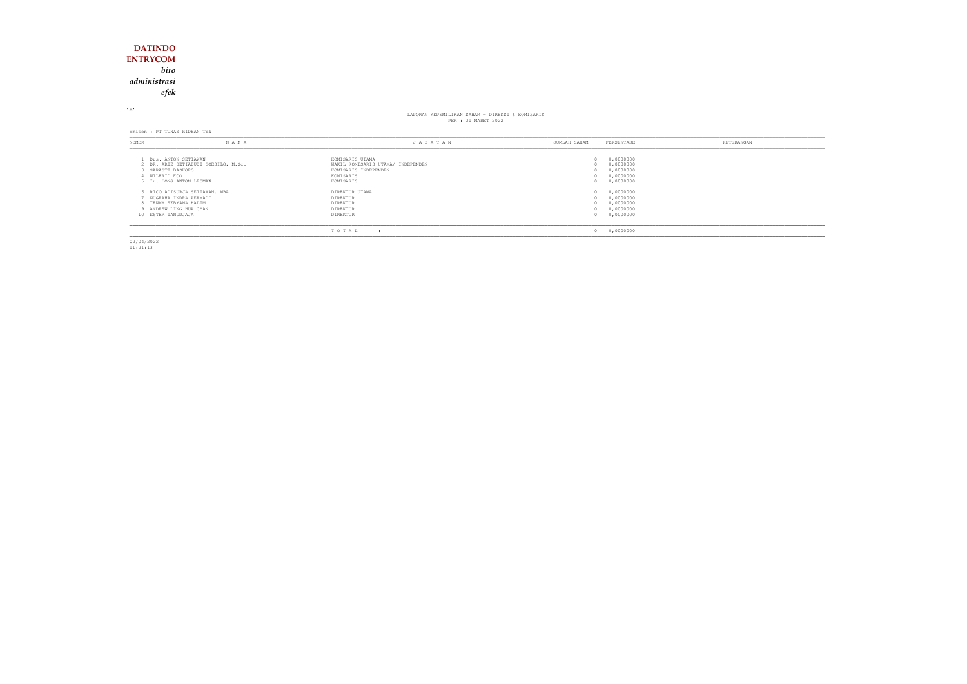### **DATINDO ENTRYCOM***biro*

*administrasi*

*efek*

<sup>M</sup>

## LAPORAN KEPEMILIKAN SAHAM - DIREKSI & KOMISARIS PER : 31 MARET 2022

Emiten : PT TUNAS RIDEAN Tbk

| <b>NOMOR</b>                                                             | N A M A                             | JABATAN                                                                      | JUMLAH SAHAM           | PERSENTASE                                       | KETERANGAN |
|--------------------------------------------------------------------------|-------------------------------------|------------------------------------------------------------------------------|------------------------|--------------------------------------------------|------------|
| Drs. ANTON SETIAWAN<br>SARASTI BASKORO                                   | 2 DR. ARIE SETIABUDI SOESILO, M.Sc. | KOMISARIS UTAMA<br>WAKIL KOMISARIS UTAMA/ INDEPENDEN<br>KOMISARIS INDEPENDEN | $\Omega$<br>(1)        | 0,0000000<br>0,0000000<br>0,0000000              |            |
| WILFRID FOO<br>5 Ir. HONG ANTON LEOMAN                                   |                                     | KOMISARIS<br>KOMISARIS                                                       | $\Omega$               | 0,0000000<br>0,0000000                           |            |
| NUGRAHA INDRA PERMADI<br>8 TENNY FEBYANA HALIM<br>9 ANDREW LING HUA CHAN | 6 RICO ADISURJA SETIAWAN, MBA       | DIREKTUR UTAMA<br>DIREKTUR<br>DIREKTUR<br>DIREKTUR                           | (1)                    | 0,0000000<br>0,0000000<br>0,0000000<br>0,0000000 |            |
| 10 ESTER TANUDJAJA                                                       |                                     | DIREKTUR<br>TOTAL<br>$\cdot$ :                                               | $^{\circ}$<br>$\Omega$ | 0,0000000<br>0,0000000                           |            |

02/04/2022 11:21:13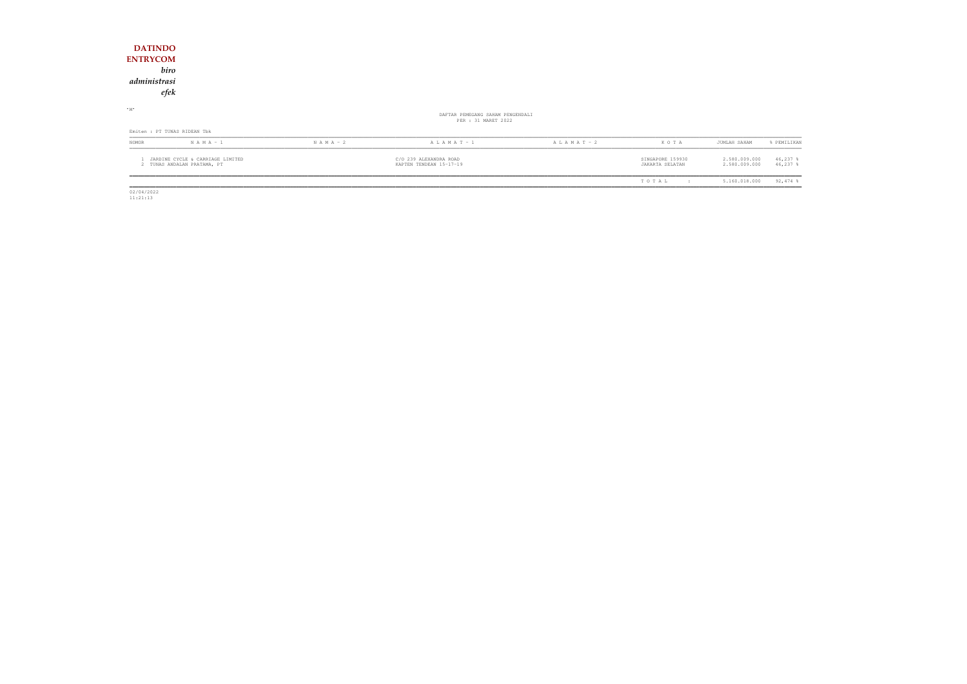| <b>DATINDO</b><br><b>ENTRYCOM</b><br>administrasi               | biro<br>efek                 |               |                                                         |                 |                                     |                                |                          |
|-----------------------------------------------------------------|------------------------------|---------------|---------------------------------------------------------|-----------------|-------------------------------------|--------------------------------|--------------------------|
| $-M$                                                            |                              |               | DAFTAR PEMEGANG SAHAM PENGENDALI<br>PER : 31 MARET 2022 |                 |                                     |                                |                          |
|                                                                 | Emiten : PT TUNAS RIDEAN Tbk |               |                                                         |                 |                                     |                                |                          |
| NOMOR                                                           | $N A M A - 1$                | $N A M A - 2$ | ALAMAT - 1                                              | A L A M A T - 2 | KOTA                                | JUMLAH SAHAM                   | % PEMILIKAN              |
| JARDINE CYCLE & CARRIAGE LIMITED<br>2 TUNAS ANDALAN PRATAMA, PT |                              |               | C/O 239 ALEXANDRA ROAD<br>KAPTEN TENDEAN 15-17-19       |                 | SINGAPORE 159930<br>JAKARTA SELATAN | 2.580.009.000<br>2.580.009.000 | $46,237$ %<br>$46,237$ % |
|                                                                 |                              |               |                                                         |                 | TOTAL<br>$\pm$                      | 5.160.018.000                  | $92,474$ %               |

 $\begin{array}{c} \hline \rule{0pt}{2.5ex} \\ 02/04/2022 \\ 11:21:13 \end{array}$